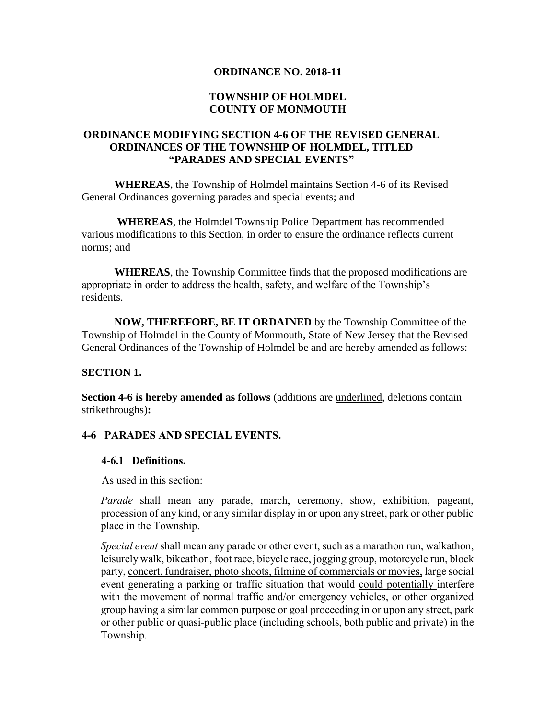### **ORDINANCE NO. 2018-11**

### **TOWNSHIP OF HOLMDEL COUNTY OF MONMOUTH**

## **ORDINANCE MODIFYING SECTION 4-6 OF THE REVISED GENERAL ORDINANCES OF THE TOWNSHIP OF HOLMDEL, TITLED "PARADES AND SPECIAL EVENTS"**

**WHEREAS**, the Township of Holmdel maintains Section 4-6 of its Revised General Ordinances governing parades and special events; and

**WHEREAS**, the Holmdel Township Police Department has recommended various modifications to this Section, in order to ensure the ordinance reflects current norms; and

**WHEREAS**, the Township Committee finds that the proposed modifications are appropriate in order to address the health, safety, and welfare of the Township's residents.

**NOW, THEREFORE, BE IT ORDAINED** by the Township Committee of the Township of Holmdel in the County of Monmouth, State of New Jersey that the Revised General Ordinances of the Township of Holmdel be and are hereby amended as follows:

### **SECTION 1.**

**Section 4-6 is hereby amended as follows** (additions are underlined, deletions contain strikethroughs)**:**

## **4-6 PARADES AND SPECIAL EVENTS.**

### **4-6.1 Definitions.**

As used in this section:

*Parade* shall mean any parade, march, ceremony, show, exhibition, pageant, procession of any kind, or any similar display in or upon any street, park or other public place in the Township.

*Special event* shall mean any parade or other event, such as a marathon run, walkathon, leisurely walk, bikeathon, foot race, bicycle race, jogging group, motorcycle run, block party, concert, fundraiser, photo shoots, filming of commercials or movies, large social event generating a parking or traffic situation that would could potentially interfere with the movement of normal traffic and/or emergency vehicles, or other organized group having a similar common purpose or goal proceeding in or upon any street, park or other public or quasi-public place (including schools, both public and private) in the Township.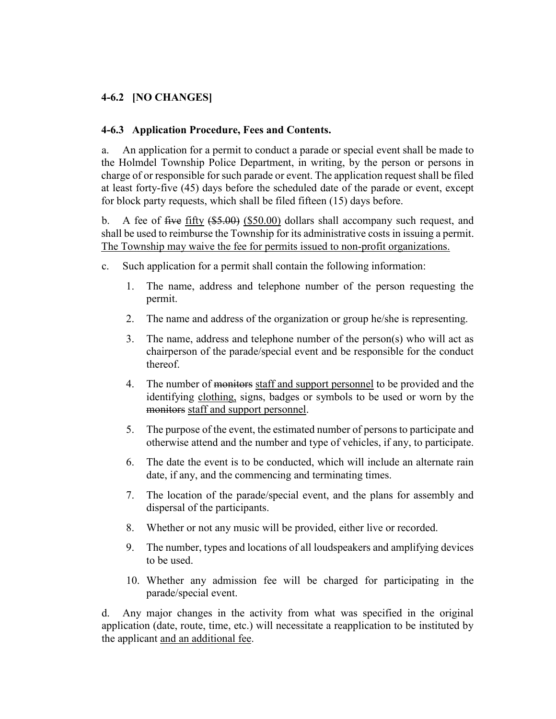# **4-6.2 [NO CHANGES]**

## **4-6.3 Application Procedure, Fees and Contents.**

a. An application for a permit to conduct a parade or special event shall be made to the Holmdel Township Police Department, in writing, by the person or persons in charge of or responsible for such parade or event. The application request shall be filed at least forty-five (45) days before the scheduled date of the parade or event, except for block party requests, which shall be filed fifteen (15) days before.

b. A fee of five fifty  $(\$5.00)$  (\$50.00) dollars shall accompany such request, and shall be used to reimburse the Township for its administrative costs in issuing a permit. The Township may waive the fee for permits issued to non-profit organizations.

- c. Such application for a permit shall contain the following information:
	- 1. The name, address and telephone number of the person requesting the permit.
	- 2. The name and address of the organization or group he/she is representing.
	- 3. The name, address and telephone number of the person(s) who will act as chairperson of the parade/special event and be responsible for the conduct thereof.
	- 4. The number of monitors staff and support personnel to be provided and the identifying clothing, signs, badges or symbols to be used or worn by the monitors staff and support personnel.
	- 5. The purpose of the event, the estimated number of persons to participate and otherwise attend and the number and type of vehicles, if any, to participate.
	- 6. The date the event is to be conducted, which will include an alternate rain date, if any, and the commencing and terminating times.
	- 7. The location of the parade/special event, and the plans for assembly and dispersal of the participants.
	- 8. Whether or not any music will be provided, either live or recorded.
	- 9. The number, types and locations of all loudspeakers and amplifying devices to be used.
	- 10. Whether any admission fee will be charged for participating in the parade/special event.

d. Any major changes in the activity from what was specified in the original application (date, route, time, etc.) will necessitate a reapplication to be instituted by the applicant and an additional fee.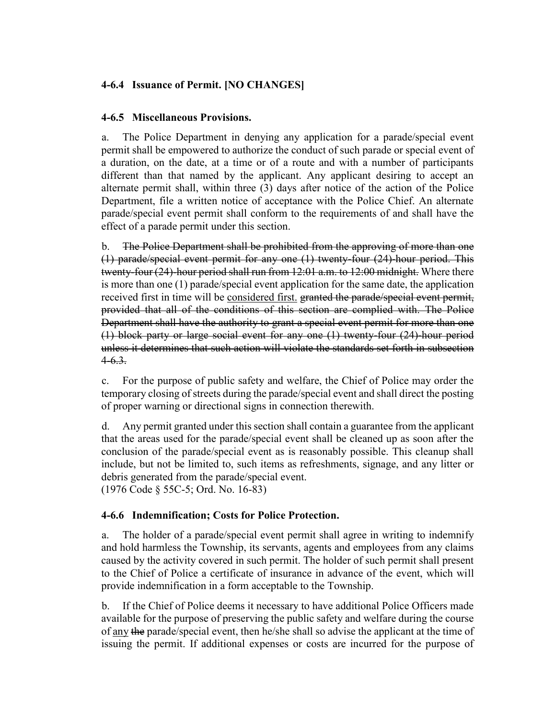# **4-6.4 Issuance of Permit. [NO CHANGES]**

## **4-6.5 Miscellaneous Provisions.**

a. The Police Department in denying any application for a parade/special event permit shall be empowered to authorize the conduct of such parade or special event of a duration, on the date, at a time or of a route and with a number of participants different than that named by the applicant. Any applicant desiring to accept an alternate permit shall, within three (3) days after notice of the action of the Police Department, file a written notice of acceptance with the Police Chief. An alternate parade/special event permit shall conform to the requirements of and shall have the effect of a parade permit under this section.

b. The Police Department shall be prohibited from the approving of more than one (1) parade/special event permit for any one (1) twenty-four (24)-hour period. This twenty-four (24)-hour period shall run from 12:01 a.m. to 12:00 midnight. Where there is more than one (1) parade/special event application for the same date, the application received first in time will be considered first. granted the parade/special event permit, provided that all of the conditions of this section are complied with. The Police Department shall have the authority to grant a special event permit for more than one (1) block party or large social event for any one (1) twenty-four (24)-hour period unless it determines that such action will violate the standards set forth in subsection  $4-6.3.$ 

c. For the purpose of public safety and welfare, the Chief of Police may order the temporary closing of streets during the parade/special event and shall direct the posting of proper warning or directional signs in connection therewith.

d. Any permit granted under this section shall contain a guarantee from the applicant that the areas used for the parade/special event shall be cleaned up as soon after the conclusion of the parade/special event as is reasonably possible. This cleanup shall include, but not be limited to, such items as refreshments, signage, and any litter or debris generated from the parade/special event. (1976 Code § 55C-5; Ord. No. 16-83)

## **4-6.6 Indemnification; Costs for Police Protection.**

a. The holder of a parade/special event permit shall agree in writing to indemnify and hold harmless the Township, its servants, agents and employees from any claims caused by the activity covered in such permit. The holder of such permit shall present to the Chief of Police a certificate of insurance in advance of the event, which will provide indemnification in a form acceptable to the Township.

b. If the Chief of Police deems it necessary to have additional Police Officers made available for the purpose of preserving the public safety and welfare during the course of any the parade/special event, then he/she shall so advise the applicant at the time of issuing the permit. If additional expenses or costs are incurred for the purpose of